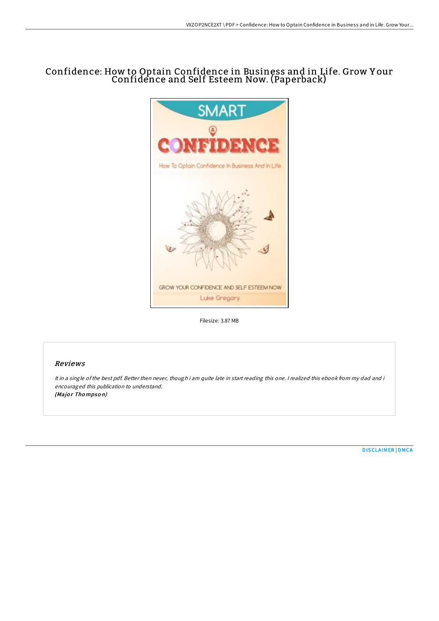# Confidence: How to Optain Confidence in Business and in Life. Grow Y our Confidence and Self Esteem Now. (Paperback)



Filesize: 3.87 MB

## Reviews

It in <sup>a</sup> single ofthe best pdf. Better then never, though i am quite late in start reading this one. <sup>I</sup> realized this ebook from my dad and i encouraged this publication to understand. (Major Thompson)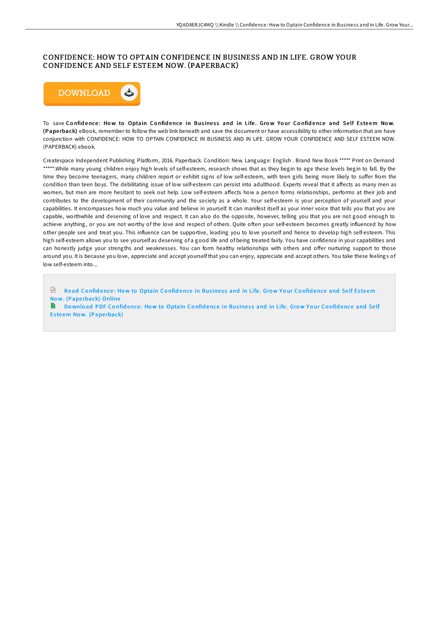# CONFIDENCE: HOW TO OPTAIN CONFIDENCE IN BUSINESS AND IN LIFE. GROW YOUR CONFIDENCE AND SELF ESTEEM NOW. (PAPERBACK)



To save Confidence: How to Optain Confidence in Business and in Life. Grow Your Confidence and Self Esteem Now. (Pape rback) eBook, remember to follow the web link beneath and save the document or have accessibility to other information that are have conjunction with CONFIDENCE: HOW TO OPTAIN CONFIDENCE IN BUSINESS AND IN LIFE. GROW YOUR CONFIDENCE AND SELF ESTEEM NOW. (PAPERBACK) ebook.

Createspace Independent Publishing Platform, 2016. Paperback. Condition: New. Language: English . Brand New Book \*\*\*\*\* Print on Demand \*\*\*\*\*.While many young children enjoy high levels of self-esteem, research shows that as they begin to age these levels begin to fall. By the time they become teenagers, many children report or exhibit signs of low self-esteem, with teen girls being more likely to suffer from the condition than teen boys. The debilitating issue of low self-esteem can persist into adulthood. Experts reveal that it aHects as many men as women, but men are more hesitant to seek out help. Low self-esteem affects how a person forms relationships, performs at their job and contributes to the development of their community and the society as a whole. Your self-esteem is your perception of yourself and your capabilities. It encompasses how much you value and believe in yourself. It can manifest itself as your inner voice that tells you that you are capable, worthwhile and deserving of love and respect. It can also do the opposite, however, telling you that you are not good enough to achieve anything, or you are not worthy of the love and respect of others. Quite often your self-esteem becomes greatly influenced by how other people see and treat you. This influence can be supportive, leading you to love yourself and hence to develop high self-esteem. This high self-esteem allows you to see yourself as deserving of a good life and of being treated fairly. You have confidence in your capabilities and can honestly judge your strengths and weaknesses. You can form healthy relationships with others and offer nurturing support to those around you. It is because you love, appreciate and accept yourself that you can enjoy, appreciate and accept others. You take these feelings of low self-esteem into...

 $\Box$  Read Confidence: How to [Optain](http://almighty24.tech/confidence-how-to-optain-confidence-in-business-.html) Confidence in Business and in Life. Grow Your Confidence and Self Esteem Now. (Paperback) Online

Download PDF Confidence: How to [Optain](http://almighty24.tech/confidence-how-to-optain-confidence-in-business-.html) Confidence in Business and in Life. Grow Your Confidence and Self Esteem Now. (Paperback)